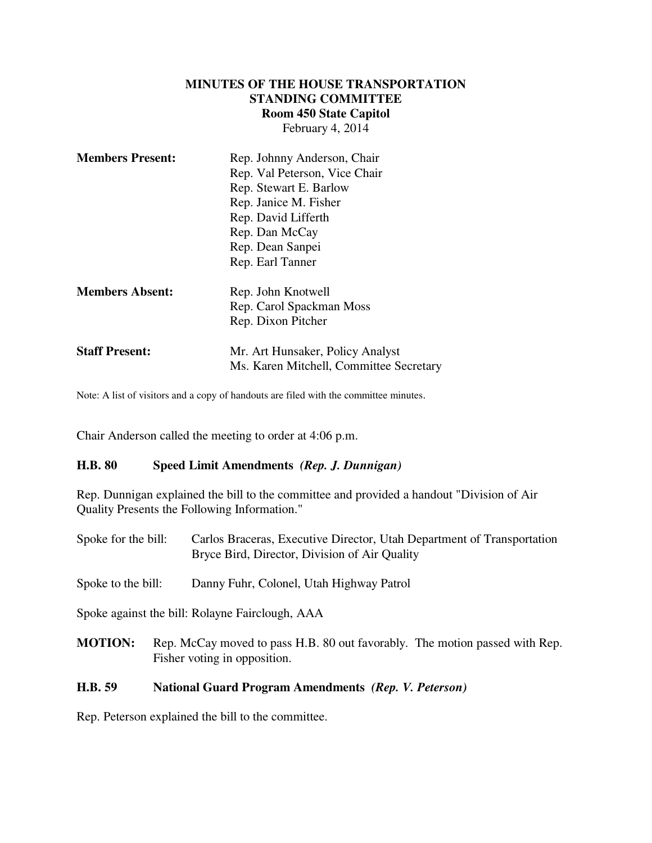#### **MINUTES OF THE HOUSE TRANSPORTATION STANDING COMMITTEE Room 450 State Capitol** February 4, 2014

| <b>Members Present:</b> | Rep. Johnny Anderson, Chair<br>Rep. Val Peterson, Vice Chair<br>Rep. Stewart E. Barlow<br>Rep. Janice M. Fisher<br>Rep. David Lifferth<br>Rep. Dan McCay<br>Rep. Dean Sanpei<br>Rep. Earl Tanner |
|-------------------------|--------------------------------------------------------------------------------------------------------------------------------------------------------------------------------------------------|
| <b>Members Absent:</b>  | Rep. John Knotwell<br>Rep. Carol Spackman Moss<br>Rep. Dixon Pitcher                                                                                                                             |
| <b>Staff Present:</b>   | Mr. Art Hunsaker, Policy Analyst<br>Ms. Karen Mitchell, Committee Secretary                                                                                                                      |

Note: A list of visitors and a copy of handouts are filed with the committee minutes.

Chair Anderson called the meeting to order at 4:06 p.m.

#### **H.B. 80 Speed Limit Amendments** *(Rep. J. Dunnigan)*

Rep. Dunnigan explained the bill to the committee and provided a handout "Division of Air Quality Presents the Following Information."

| Spoke for the bill: | Carlos Braceras, Executive Director, Utah Department of Transportation<br>Bryce Bird, Director, Division of Air Quality |
|---------------------|-------------------------------------------------------------------------------------------------------------------------|
| Spoke to the bill:  | Danny Fuhr, Colonel, Utah Highway Patrol                                                                                |
|                     | Spoke against the bill: Rolayne Fairclough, AAA                                                                         |
| <b>MOTION:</b>      | Rep. McCay moved to pass H.B. 80 out favorably. The motion passed with Rep.<br>Fisher voting in opposition.             |

#### **H.B. 59 National Guard Program Amendments** *(Rep. V. Peterson)*

Rep. Peterson explained the bill to the committee.